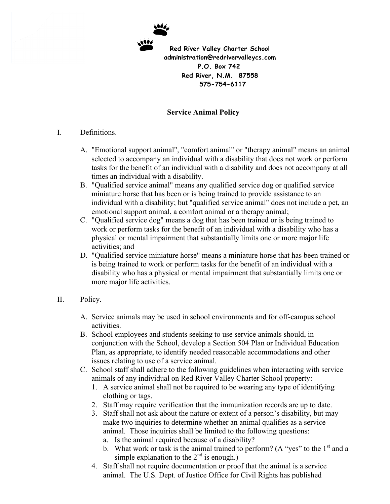

## **Service Animal Policy**

## I. Definitions.

- A. "Emotional support animal", "comfort animal" or "therapy animal" means an animal selected to accompany an individual with a disability that does not work or perform tasks for the benefit of an individual with a disability and does not accompany at all times an individual with a disability.
- B. "Qualified service animal" means any qualified service dog or qualified service miniature horse that has been or is being trained to provide assistance to an individual with a disability; but "qualified service animal" does not include a pet, an emotional support animal, a comfort animal or a therapy animal;
- C. "Qualified service dog" means a dog that has been trained or is being trained to work or perform tasks for the benefit of an individual with a disability who has a physical or mental impairment that substantially limits one or more major life activities; and
- D. "Qualified service miniature horse" means a miniature horse that has been trained or is being trained to work or perform tasks for the benefit of an individual with a disability who has a physical or mental impairment that substantially limits one or more major life activities.

## II. Policy.

- A. Service animals may be used in school environments and for off-campus school activities.
- B. School employees and students seeking to use service animals should, in conjunction with the School, develop a Section 504 Plan or Individual Education Plan, as appropriate, to identify needed reasonable accommodations and other issues relating to use of a service animal.
- C. School staff shall adhere to the following guidelines when interacting with service animals of any individual on Red River Valley Charter School property:
	- 1. A service animal shall not be required to be wearing any type of identifying clothing or tags.
	- 2. Staff may require verification that the immunization records are up to date.
	- 3. Staff shall not ask about the nature or extent of a person's disability, but may make two inquiries to determine whether an animal qualifies as a service animal. Those inquiries shall be limited to the following questions:
		- a. Is the animal required because of a disability?
		- b. What work or task is the animal trained to perform? (A "yes" to the  $1<sup>st</sup>$  and a simple explanation to the  $2<sup>nd</sup>$  is enough.)
	- 4. Staff shall not require documentation or proof that the animal is a service animal. The U.S. Dept. of Justice Office for Civil Rights has published